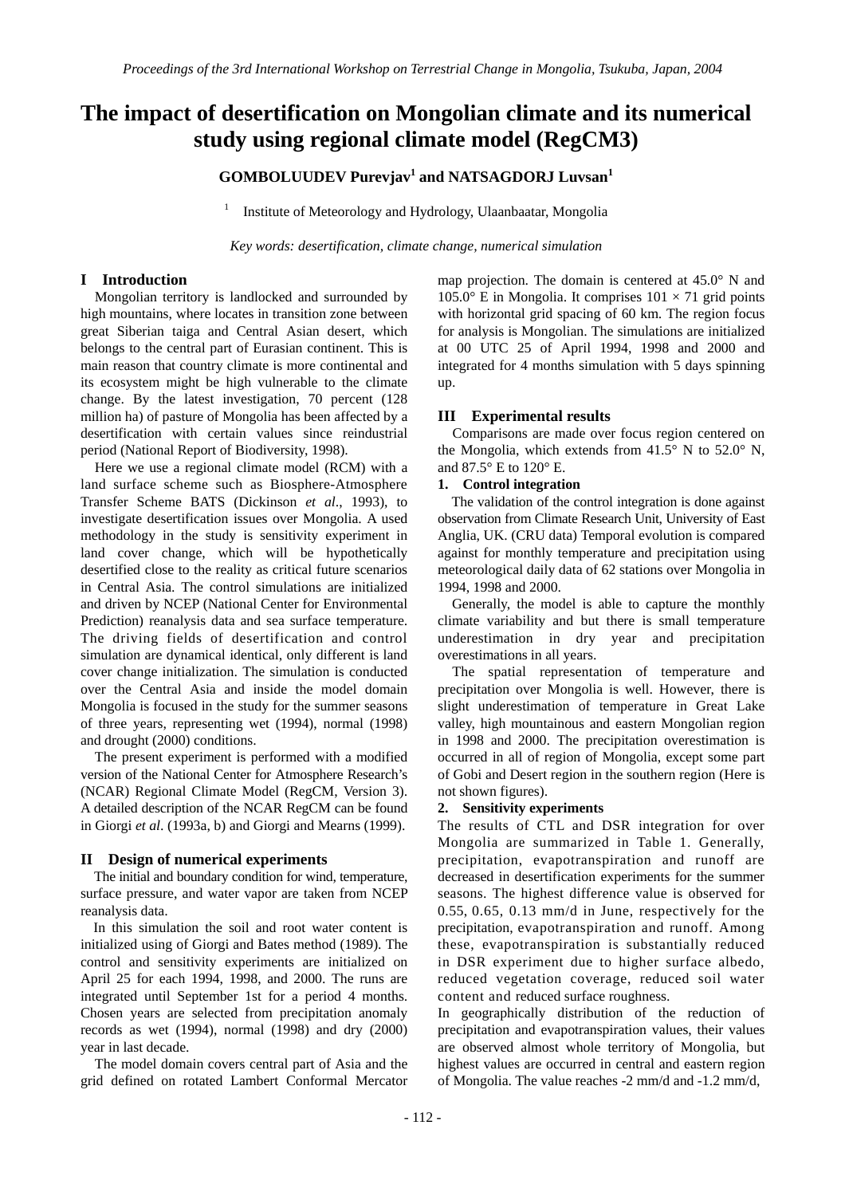# **The impact of desertification on Mongolian climate and its numerical study using regional climate model (RegCM3)**

## **GOMBOLUUDEV Purevjav1 and NATSAGDORJ Luvsan<sup>1</sup>**

1 Institute of Meteorology and Hydrology, Ulaanbaatar, Mongolia

*Key words: desertification, climate change, numerical simulation*

#### **I Introduction**

Mongolian territory is landlocked and surrounded by high mountains, where locates in transition zone between great Siberian taiga and Central Asian desert, which belongs to the central part of Eurasian continent. This is main reason that country climate is more continental and its ecosystem might be high vulnerable to the climate change. By the latest investigation, 70 percent (128 million ha) of pasture of Mongolia has been affected by a desertification with certain values since reindustrial period (National Report of Biodiversity, 1998).

Here we use a regional climate model (RCM) with a land surface scheme such as Biosphere-Atmosphere Transfer Scheme BATS (Dickinson *et al*., 1993), to investigate desertification issues over Mongolia. A used methodology in the study is sensitivity experiment in land cover change, which will be hypothetically desertified close to the reality as critical future scenarios in Central Asia. The control simulations are initialized and driven by NCEP (National Center for Environmental Prediction) reanalysis data and sea surface temperature. The driving fields of desertification and control simulation are dynamical identical, only different is land cover change initialization. The simulation is conducted over the Central Asia and inside the model domain Mongolia is focused in the study for the summer seasons of three years, representing wet (1994), normal (1998) and drought (2000) conditions.

The present experiment is performed with a modified version of the National Center for Atmosphere Research's (NCAR) Regional Climate Model (RegCM, Version 3). A detailed description of the NCAR RegCM can be found in Giorgi *et al*. (1993a, b) and Giorgi and Mearns (1999).

#### **II Design of numerical experiments**

The initial and boundary condition for wind, temperature, surface pressure, and water vapor are taken from NCEP reanalysis data.

In this simulation the soil and root water content is initialized using of Giorgi and Bates method (1989). The control and sensitivity experiments are initialized on April 25 for each 1994, 1998, and 2000. The runs are integrated until September 1st for a period 4 months. Chosen years are selected from precipitation anomaly records as wet (1994), normal (1998) and dry (2000) year in last decade.

The model domain covers central part of Asia and the grid defined on rotated Lambert Conformal Mercator map projection. The domain is centered at 45.0° N and 105.0° E in Mongolia. It comprises  $101 \times 71$  grid points with horizontal grid spacing of 60 km. The region focus for analysis is Mongolian. The simulations are initialized at 00 UTC 25 of April 1994, 1998 and 2000 and integrated for 4 months simulation with 5 days spinning up.

#### **III Experimental results**

Comparisons are made over focus region centered on the Mongolia, which extends from  $41.5^\circ$  N to  $52.0^\circ$  N. and 87.5° E to 120° E.

#### **1. Control integration**

The validation of the control integration is done against observation from Climate Research Unit, University of East Anglia, UK. (CRU data) Temporal evolution is compared against for monthly temperature and precipitation using meteorological daily data of 62 stations over Mongolia in 1994, 1998 and 2000.

Generally, the model is able to capture the monthly climate variability and but there is small temperature underestimation in dry year and precipitation overestimations in all years.

The spatial representation of temperature and precipitation over Mongolia is well. However, there is slight underestimation of temperature in Great Lake valley, high mountainous and eastern Mongolian region in 1998 and 2000. The precipitation overestimation is occurred in all of region of Mongolia, except some part of Gobi and Desert region in the southern region (Here is not shown figures).

#### **2. Sensitivity experiments**

The results of CTL and DSR integration for over Mongolia are summarized in Table 1. Generally, precipitation, evapotranspiration and runoff are decreased in desertification experiments for the summer seasons. The highest difference value is observed for 0.55, 0.65, 0.13 mm/d in June, respectively for the precipitation, evapotranspiration and runoff. Among these, evapotranspiration is substantially reduced in DSR experiment due to higher surface albedo, reduced vegetation coverage, reduced soil water content and reduced surface roughness.

In geographically distribution of the reduction of precipitation and evapotranspiration values, their values are observed almost whole territory of Mongolia, but highest values are occurred in central and eastern region of Mongolia. The value reaches -2 mm/d and -1.2 mm/d,